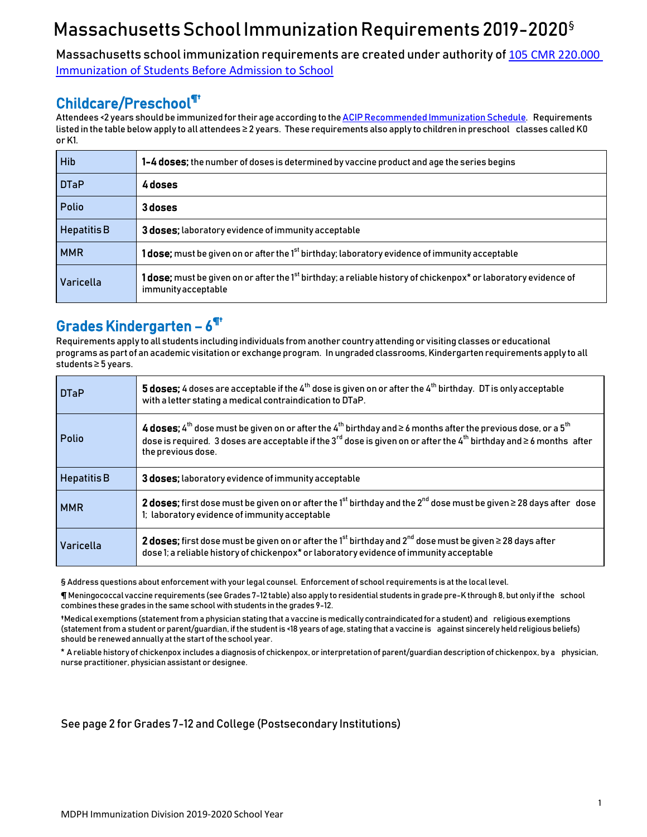## Massachusetts School Immunization Requirements 2019-2020<sup>§</sup>

Massachusetts school immunization requirements are created under authority of [105 CMR 220.000](https://www.mass.gov/regulations/105-CMR-22000-immunization-of-students-before-admission-to-school)  [Immunization of Students Before Admission to School](https://www.mass.gov/regulations/105-CMR-22000-immunization-of-students-before-admission-to-school)

### Childcare/Preschool¶†

Attendees <2 years should be immunized for their age according to the ACIP Recommended Immunization Schedule. Requirements listed in the table belowapply to all attendees ≥ 2 years. These requirements also apply to children in preschool classes called K0 or K1.

| <b>Hib</b>         | 1-4 doses; the number of doses is determined by vaccine product and age the series begins                                                                 |
|--------------------|-----------------------------------------------------------------------------------------------------------------------------------------------------------|
| <b>DTaP</b>        | 4 doses                                                                                                                                                   |
| Polio              | 3 doses                                                                                                                                                   |
| <b>Hepatitis B</b> | <b>3 doses:</b> laboratory evidence of immunity acceptable                                                                                                |
| <b>MMR</b>         | <b>1 dose;</b> must be given on or after the 1 <sup>st</sup> birthday; laboratory evidence of immunity acceptable                                         |
| Varicella          | <b>1 dose;</b> must be given on or after the 1 <sup>st</sup> birthday; a reliable history of chickenpox* or laboratory evidence of<br>immunity acceptable |

## Grades Kindergarten – 6 ¶†

Requirements apply to all students includingindividuals from another countryattending or visiting classes oreducational programs as part of an academic visitation or exchange program. In ungraded classrooms,Kindergarten requirements apply to all students ≥ 5 years.

| <b>DTaP</b>        | <b>5 doses;</b> 4 doses are acceptable if the 4 <sup>th</sup> dose is given on or after the 4 <sup>th</sup> birthday. DT is only acceptable<br>with a letter stating a medical contraindication to DTaP.                                                                                                             |
|--------------------|----------------------------------------------------------------------------------------------------------------------------------------------------------------------------------------------------------------------------------------------------------------------------------------------------------------------|
| Polio              | 4 doses; 4 <sup>th</sup> dose must be given on or after the 4 <sup>th</sup> birthday and $\geq$ 6 months after the previous dose, or a 5 <sup>th</sup><br>dose is required. 3 doses are acceptable if the 3 $^{rd}$ dose is given on or after the 4 <sup>th</sup> birthday and ≥6 months after<br>the previous dose. |
| <b>Hepatitis B</b> | 3 doses; laboratory evidence of immunity acceptable                                                                                                                                                                                                                                                                  |
| <b>MMR</b>         | 2 doses; first dose must be given on or after the 1st birthday and the $2^{nd}$ dose must be given $\geq$ 28 days after dose<br>1; laboratory evidence of immunity acceptable                                                                                                                                        |
| Varicella          | 2 doses; first dose must be given on or after the 1 <sup>st</sup> birthday and 2 <sup>nd</sup> dose must be given $\geq$ 28 days after<br>dose 1; a reliable history of chickenpox* or laboratory evidence of immunity acceptable                                                                                    |

§ Address questions about enforcement with your legal counsel. Enforcement of school requirements is at the local level.

¶ Meningococcal vaccine requirements (see Grades 7-12 table) also apply to residential students in grade pre-K through 8, but only if the school combines these grades in the same school with students in the grades 9-12.

†Medicalexemptions (statement from a physician stating that a vaccine is medically contraindicated for a student) and religious exemptions (statement froma student or parent/guardian, if the studentis <18 years of age, stating that a vaccine is against sincerely held religious beliefs) should be renewed annually atthe start of the school year.

\* Areliable history of chickenpox includes a diagnosis of chickenpox,or interpretation of parent/guardian description of chickenpox, by a physician, nurse practitioner, physician assistant or designee.

#### See page 2 for Grades 7-12 and College (Postsecondary Institutions)